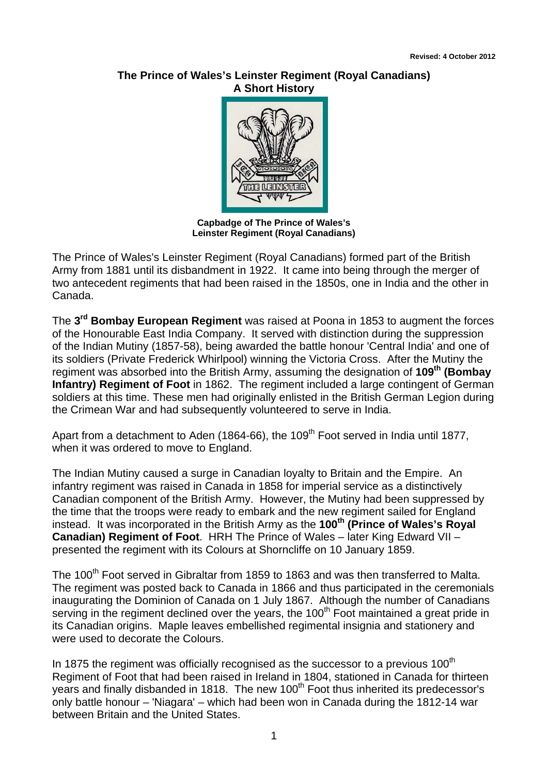## **The Prince of Wales's Leinster Regiment (Royal Canadians) A Short History**



**Capbadge of The Prince of Wales's Leinster Regiment (Royal Canadians)** 

The Prince of Wales's Leinster Regiment (Royal Canadians) formed part of the British Army from 1881 until its disbandment in 1922. It came into being through the merger of two antecedent regiments that had been raised in the 1850s, one in India and the other in Canada.

The **3rd Bombay European Regiment** was raised at Poona in 1853 to augment the forces of the Honourable East India Company. It served with distinction during the suppression of the Indian Mutiny (1857-58), being awarded the battle honour 'Central India' and one of its soldiers (Private Frederick Whirlpool) winning the Victoria Cross. After the Mutiny the regiment was absorbed into the British Army, assuming the designation of **109th (Bombay Infantry) Regiment of Foot** in 1862. The regiment included a large contingent of German soldiers at this time. These men had originally enlisted in the British German Legion during the Crimean War and had subsequently volunteered to serve in India.

Apart from a detachment to Aden (1864-66), the 109<sup>th</sup> Foot served in India until 1877, when it was ordered to move to England.

The Indian Mutiny caused a surge in Canadian loyalty to Britain and the Empire. An infantry regiment was raised in Canada in 1858 for imperial service as a distinctively Canadian component of the British Army. However, the Mutiny had been suppressed by the time that the troops were ready to embark and the new regiment sailed for England instead. It was incorporated in the British Army as the **100<sup>th</sup>** (Prince of Wales's Royal **Canadian) Regiment of Foot**. HRH The Prince of Wales – later King Edward VII – presented the regiment with its Colours at Shorncliffe on 10 January 1859.

The 100<sup>th</sup> Foot served in Gibraltar from 1859 to 1863 and was then transferred to Malta. The regiment was posted back to Canada in 1866 and thus participated in the ceremonials inaugurating the Dominion of Canada on 1 July 1867. Although the number of Canadians serving in the regiment declined over the years, the 100<sup>th</sup> Foot maintained a great pride in its Canadian origins. Maple leaves embellished regimental insignia and stationery and were used to decorate the Colours.

In 1875 the regiment was officially recognised as the successor to a previous  $100<sup>th</sup>$ Regiment of Foot that had been raised in Ireland in 1804, stationed in Canada for thirteen years and finally disbanded in 1818. The new 100<sup>th</sup> Foot thus inherited its predecessor's only battle honour – 'Niagara' – which had been won in Canada during the 1812-14 war between Britain and the United States.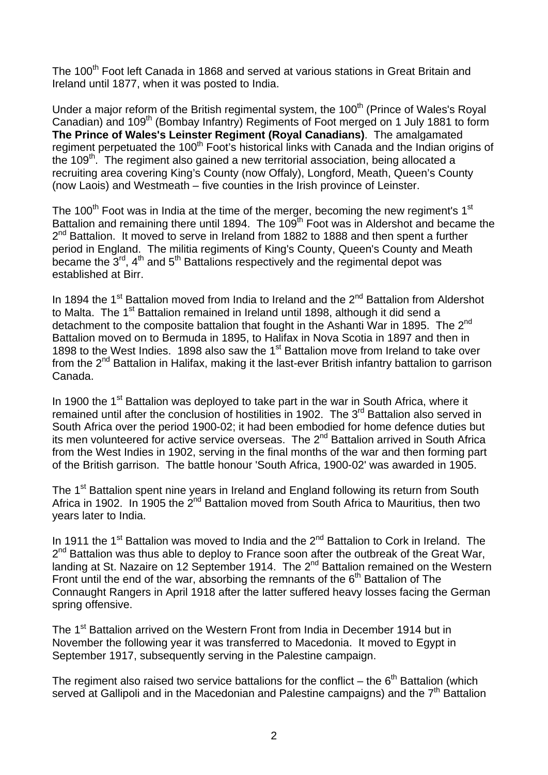The 100<sup>th</sup> Foot left Canada in 1868 and served at various stations in Great Britain and Ireland until 1877, when it was posted to India.

Under a major reform of the British regimental system, the 100<sup>th</sup> (Prince of Wales's Royal Canadian) and 109<sup>th</sup> (Bombay Infantry) Regiments of Foot merged on 1 July 1881 to form **The Prince of Wales's Leinster Regiment (Royal Canadians)**. The amalgamated regiment perpetuated the 100<sup>th</sup> Foot's historical links with Canada and the Indian origins of the  $109<sup>th</sup>$ . The regiment also gained a new territorial association, being allocated a recruiting area covering King's County (now Offaly), Longford, Meath, Queen's County (now Laois) and Westmeath – five counties in the Irish province of Leinster.

The 100<sup>th</sup> Foot was in India at the time of the merger, becoming the new regiment's  $1<sup>st</sup>$ Battalion and remaining there until 1894. The 109<sup>th</sup> Foot was in Aldershot and became the  $2<sup>nd</sup>$  Battalion. It moved to serve in Ireland from 1882 to 1888 and then spent a further period in England. The militia regiments of King's County, Queen's County and Meath became the  $3<sup>rd</sup>$ , 4<sup>th</sup> and 5<sup>th</sup> Battalions respectively and the regimental depot was established at Birr.

In 1894 the 1<sup>st</sup> Battalion moved from India to Ireland and the 2<sup>nd</sup> Battalion from Aldershot to Malta. The 1<sup>st</sup> Battalion remained in Ireland until 1898, although it did send a detachment to the composite battalion that fought in the Ashanti War in 1895. The 2<sup>nd</sup> Battalion moved on to Bermuda in 1895, to Halifax in Nova Scotia in 1897 and then in 1898 to the West Indies. 1898 also saw the 1<sup>st</sup> Battalion move from Ireland to take over from the 2<sup>nd</sup> Battalion in Halifax, making it the last-ever British infantry battalion to garrison Canada.

In 1900 the 1<sup>st</sup> Battalion was deployed to take part in the war in South Africa, where it remained until after the conclusion of hostilities in 1902. The 3<sup>rd</sup> Battalion also served in South Africa over the period 1900-02; it had been embodied for home defence duties but its men volunteered for active service overseas. The 2<sup>nd</sup> Battalion arrived in South Africa from the West Indies in 1902, serving in the final months of the war and then forming part of the British garrison. The battle honour 'South Africa, 1900-02' was awarded in 1905.

The 1<sup>st</sup> Battalion spent nine years in Ireland and England following its return from South Africa in 1902. In 1905 the  $2<sup>nd</sup>$  Battalion moved from South Africa to Mauritius, then two years later to India.

In 1911 the 1<sup>st</sup> Battalion was moved to India and the  $2^{nd}$  Battalion to Cork in Ireland. The 2<sup>nd</sup> Battalion was thus able to deploy to France soon after the outbreak of the Great War, landing at St. Nazaire on 12 September 1914. The 2<sup>nd</sup> Battalion remained on the Western Front until the end of the war, absorbing the remnants of the  $6<sup>th</sup>$  Battalion of The Connaught Rangers in April 1918 after the latter suffered heavy losses facing the German spring offensive.

The 1<sup>st</sup> Battalion arrived on the Western Front from India in December 1914 but in November the following year it was transferred to Macedonia. It moved to Egypt in September 1917, subsequently serving in the Palestine campaign.

The regiment also raised two service battalions for the conflict – the  $6<sup>th</sup>$  Battalion (which served at Gallipoli and in the Macedonian and Palestine campaigns) and the  $7<sup>th</sup>$  Battalion